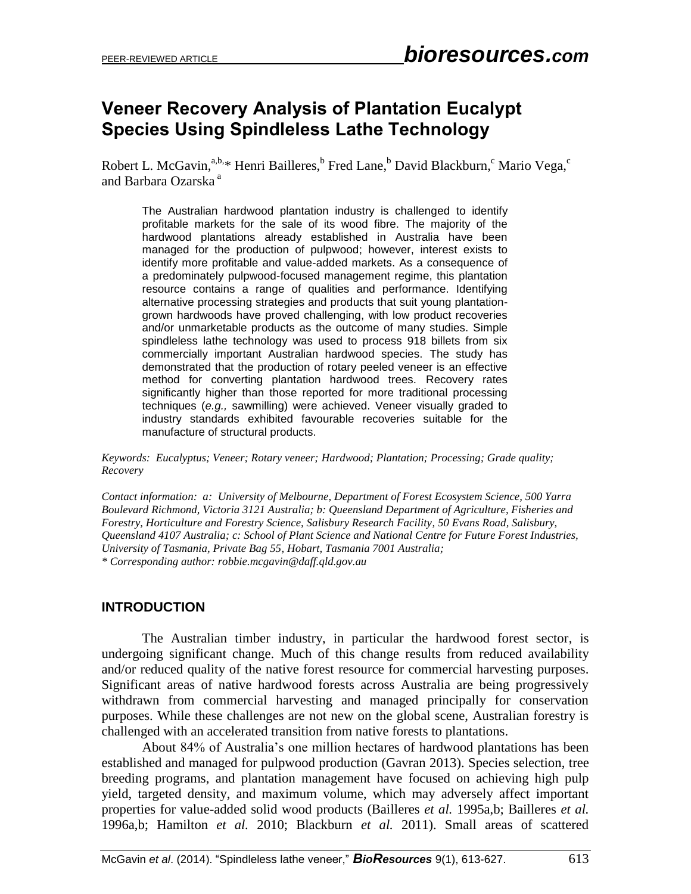# **Veneer Recovery Analysis of Plantation Eucalypt Species Using Spindleless Lathe Technology**

Robert L. McGavin,<sup>a,b,\*</sup> Henri Bailleres, Fred Lane, <sup>b</sup> David Blackburn, <sup>c</sup> Mario Vega, <sup>c</sup> and Barbara Ozarska <sup>a</sup>

The Australian hardwood plantation industry is challenged to identify profitable markets for the sale of its wood fibre. The majority of the hardwood plantations already established in Australia have been managed for the production of pulpwood; however, interest exists to identify more profitable and value-added markets. As a consequence of a predominately pulpwood-focused management regime, this plantation resource contains a range of qualities and performance. Identifying alternative processing strategies and products that suit young plantationgrown hardwoods have proved challenging, with low product recoveries and/or unmarketable products as the outcome of many studies. Simple spindleless lathe technology was used to process 918 billets from six commercially important Australian hardwood species. The study has demonstrated that the production of rotary peeled veneer is an effective method for converting plantation hardwood trees. Recovery rates significantly higher than those reported for more traditional processing techniques (*e.g.,* sawmilling) were achieved. Veneer visually graded to industry standards exhibited favourable recoveries suitable for the manufacture of structural products.

*Keywords: Eucalyptus; Veneer; Rotary veneer; Hardwood; Plantation; Processing; Grade quality; Recovery* 

*Contact information: a: University of Melbourne, Department of Forest Ecosystem Science, 500 Yarra Boulevard Richmond, Victoria 3121 Australia; b: Queensland Department of Agriculture, Fisheries and Forestry, Horticulture and Forestry Science, Salisbury Research Facility, 50 Evans Road, Salisbury, Queensland 4107 Australia; c: School of Plant Science and National Centre for Future Forest Industries, University of Tasmania, Private Bag 55, Hobart, Tasmania 7001 Australia; \* Corresponding author: [robbie.mcgavin@daff.qld.gov.au](mailto:liujb3@ncsu.edu)*

#### **INTRODUCTION**

The Australian timber industry, in particular the hardwood forest sector, is undergoing significant change. Much of this change results from reduced availability and/or reduced quality of the native forest resource for commercial harvesting purposes. Significant areas of native hardwood forests across Australia are being progressively withdrawn from commercial harvesting and managed principally for conservation purposes. While these challenges are not new on the global scene, Australian forestry is challenged with an accelerated transition from native forests to plantations.

About 84% of Australia's one million hectares of hardwood plantations has been established and managed for pulpwood production (Gavran 2013). Species selection, tree breeding programs, and plantation management have focused on achieving high pulp yield, targeted density, and maximum volume, which may adversely affect important properties for value-added solid wood products (Bailleres *et al.* 1995a,b; Bailleres *et al.* 1996a,b; Hamilton *et al.* 2010; Blackburn *et al.* 2011). Small areas of scattered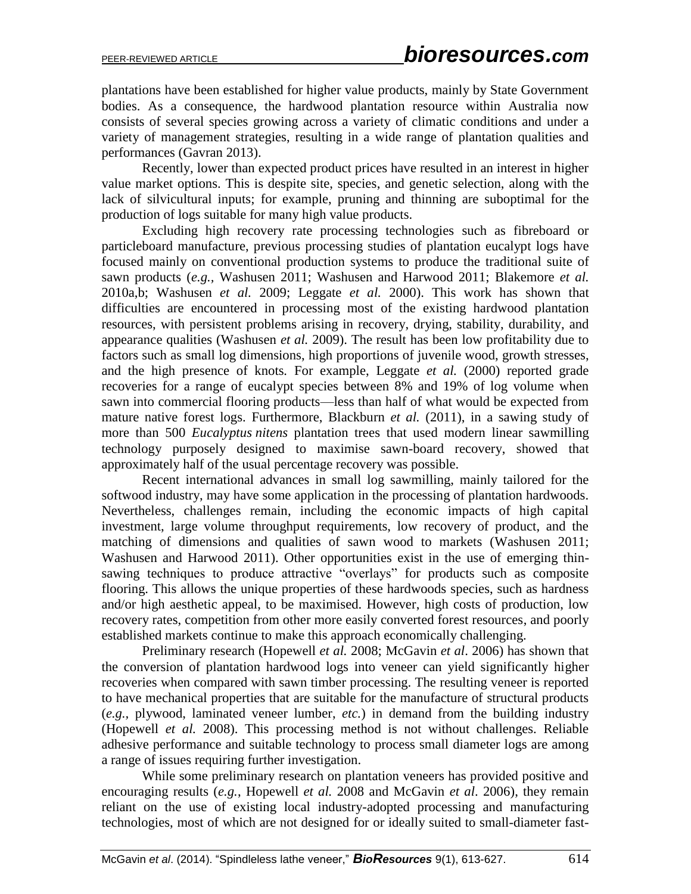plantations have been established for higher value products, mainly by State Government bodies. As a consequence, the hardwood plantation resource within Australia now consists of several species growing across a variety of climatic conditions and under a variety of management strategies, resulting in a wide range of plantation qualities and performances (Gavran 2013).

Recently, lower than expected product prices have resulted in an interest in higher value market options. This is despite site, species, and genetic selection, along with the lack of silvicultural inputs; for example, pruning and thinning are suboptimal for the production of logs suitable for many high value products.

Excluding high recovery rate processing technologies such as fibreboard or particleboard manufacture, previous processing studies of plantation eucalypt logs have focused mainly on conventional production systems to produce the traditional suite of sawn products (*e.g.,* Washusen 2011; Washusen and Harwood 2011; Blakemore *et al.* 2010a,b; Washusen *et al.* 2009; Leggate *et al.* 2000). This work has shown that difficulties are encountered in processing most of the existing hardwood plantation resources, with persistent problems arising in recovery, drying, stability, durability, and appearance qualities (Washusen *et al.* 2009). The result has been low profitability due to factors such as small log dimensions, high proportions of juvenile wood, growth stresses, and the high presence of knots*.* For example, Leggate *et al.* (2000) reported grade recoveries for a range of eucalypt species between 8% and 19% of log volume when sawn into commercial flooring products—less than half of what would be expected from mature native forest logs. Furthermore, Blackburn *et al.* (2011), in a sawing study of more than 500 *Eucalyptus nitens* plantation trees that used modern linear sawmilling technology purposely designed to maximise sawn-board recovery, showed that approximately half of the usual percentage recovery was possible.

Recent international advances in small log sawmilling, mainly tailored for the softwood industry, may have some application in the processing of plantation hardwoods. Nevertheless, challenges remain, including the economic impacts of high capital investment, large volume throughput requirements, low recovery of product, and the matching of dimensions and qualities of sawn wood to markets (Washusen 2011; Washusen and Harwood 2011). Other opportunities exist in the use of emerging thinsawing techniques to produce attractive "overlays" for products such as composite flooring. This allows the unique properties of these hardwoods species, such as hardness and/or high aesthetic appeal, to be maximised. However, high costs of production, low recovery rates, competition from other more easily converted forest resources, and poorly established markets continue to make this approach economically challenging.

Preliminary research (Hopewell *et al.* 2008; McGavin *et al*. 2006) has shown that the conversion of plantation hardwood logs into veneer can yield significantly higher recoveries when compared with sawn timber processing. The resulting veneer is reported to have mechanical properties that are suitable for the manufacture of structural products (*e.g.,* plywood, laminated veneer lumber, *etc.*) in demand from the building industry (Hopewell *et al.* 2008). This processing method is not without challenges. Reliable adhesive performance and suitable technology to process small diameter logs are among a range of issues requiring further investigation.

While some preliminary research on plantation veneers has provided positive and encouraging results (*e.g.*, Hopewell *et al.* 2008 and McGavin *et al*. 2006), they remain reliant on the use of existing local industry-adopted processing and manufacturing technologies, most of which are not designed for or ideally suited to small-diameter fast-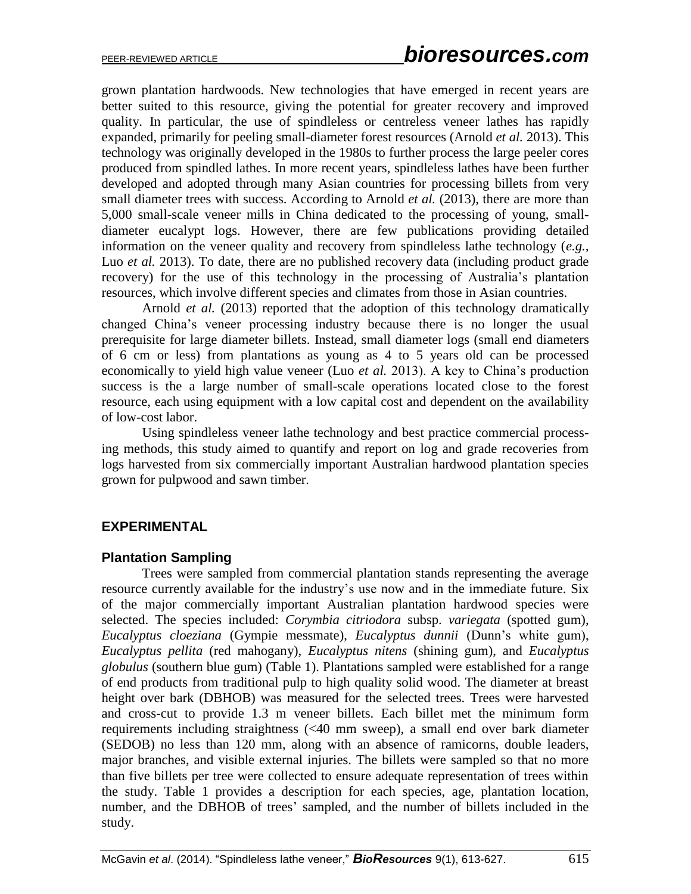grown plantation hardwoods. New technologies that have emerged in recent years are better suited to this resource, giving the potential for greater recovery and improved quality. In particular, the use of spindleless or centreless veneer lathes has rapidly expanded, primarily for peeling small-diameter forest resources (Arnold *et al.* 2013). This technology was originally developed in the 1980s to further process the large peeler cores produced from spindled lathes. In more recent years, spindleless lathes have been further developed and adopted through many Asian countries for processing billets from very small diameter trees with success. According to Arnold *et al.* (2013), there are more than 5,000 small-scale veneer mills in China dedicated to the processing of young, smalldiameter eucalypt logs. However, there are few publications providing detailed information on the veneer quality and recovery from spindleless lathe technology (*e.g.,* Luo *et al.* 2013). To date, there are no published recovery data (including product grade recovery) for the use of this technology in the processing of Australia's plantation resources, which involve different species and climates from those in Asian countries.

Arnold *et al.* (2013) reported that the adoption of this technology dramatically changed China's veneer processing industry because there is no longer the usual prerequisite for large diameter billets. Instead, small diameter logs (small end diameters of 6 cm or less) from plantations as young as 4 to 5 years old can be processed economically to yield high value veneer (Luo *et al.* 2013). A key to China's production success is the a large number of small-scale operations located close to the forest resource, each using equipment with a low capital cost and dependent on the availability of low-cost labor.

Using spindleless veneer lathe technology and best practice commercial processing methods, this study aimed to quantify and report on log and grade recoveries from logs harvested from six commercially important Australian hardwood plantation species grown for pulpwood and sawn timber.

#### **EXPERIMENTAL**

#### **Plantation Sampling**

Trees were sampled from commercial plantation stands representing the average resource currently available for the industry's use now and in the immediate future. Six of the major commercially important Australian plantation hardwood species were selected. The species included: *Corymbia citriodora* subsp. *variegata* (spotted gum), *Eucalyptus cloeziana* (Gympie messmate), *Eucalyptus dunnii* (Dunn's white gum), *Eucalyptus pellita* (red mahogany), *Eucalyptus nitens* (shining gum), and *Eucalyptus globulus* (southern blue gum) (Table 1). Plantations sampled were established for a range of end products from traditional pulp to high quality solid wood. The diameter at breast height over bark (DBHOB) was measured for the selected trees. Trees were harvested and cross-cut to provide 1.3 m veneer billets. Each billet met the minimum form requirements including straightness (<40 mm sweep), a small end over bark diameter (SEDOB) no less than 120 mm, along with an absence of ramicorns, double leaders, major branches, and visible external injuries. The billets were sampled so that no more than five billets per tree were collected to ensure adequate representation of trees within the study. Table 1 provides a description for each species, age, plantation location, number, and the DBHOB of trees' sampled, and the number of billets included in the study.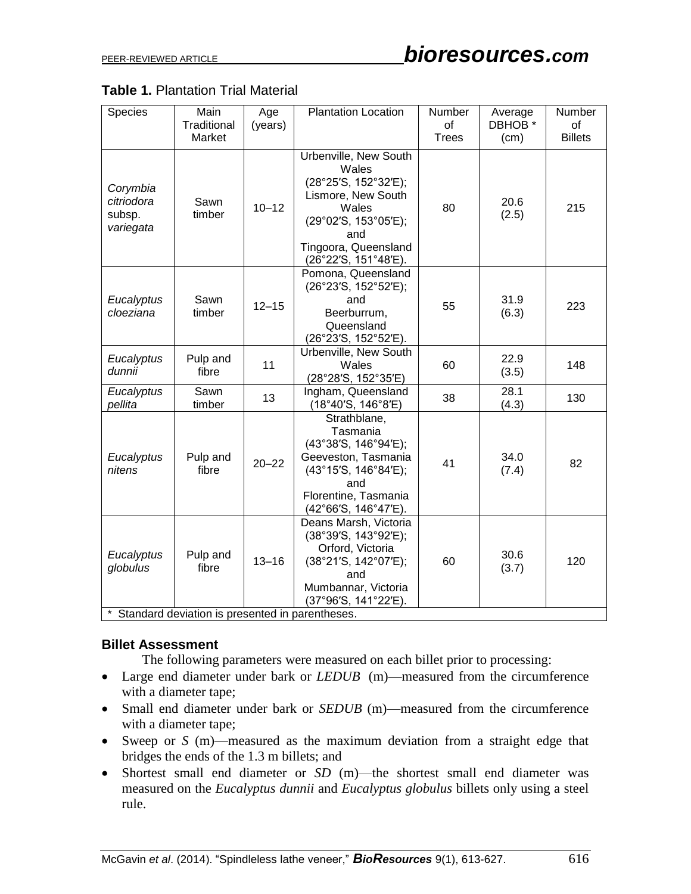| <b>Table 1. Plantation Trial Material</b> |  |  |
|-------------------------------------------|--|--|
|-------------------------------------------|--|--|

| Species                                         | Main<br>Traditional | Age<br>(years) | <b>Plantation Location</b>                                                                                                                                           | Number<br>of | Average<br>DBHOB <sup>*</sup> | Number<br><b>of</b> |
|-------------------------------------------------|---------------------|----------------|----------------------------------------------------------------------------------------------------------------------------------------------------------------------|--------------|-------------------------------|---------------------|
|                                                 | Market              |                |                                                                                                                                                                      | <b>Trees</b> | (cm)                          | <b>Billets</b>      |
| Corymbia<br>citriodora<br>subsp.<br>variegata   | Sawn<br>timber      | $10 - 12$      | Urbenville, New South<br>Wales<br>(28°25'S, 152°32'E);<br>Lismore, New South<br>Wales<br>(29°02'S, 153°05'E);<br>and<br>Tingoora, Queensland<br>(26°22'S, 151°48'E). | 80           | 20.6<br>(2.5)                 | 215                 |
| Eucalyptus<br>cloeziana                         | Sawn<br>timber      | $12 - 15$      | Pomona, Queensland<br>(26°23'S, 152°52'E);<br>and<br>Beerburrum,<br>Queensland<br>(26°23'S, 152°52'E).                                                               | 55           | 31.9<br>(6.3)                 | 223                 |
| Eucalyptus<br>dunnii                            | Pulp and<br>fibre   | 11             | Urbenville, New South<br>Wales<br>(28°28'S, 152°35'E)                                                                                                                | 60           | 22.9<br>(3.5)                 | 148                 |
| Eucalyptus<br>pellita                           | Sawn<br>timber      | 13             | Ingham, Queensland<br>(18°40'S, 146°8'E)                                                                                                                             | 38           | 28.1<br>(4.3)                 | 130                 |
| Eucalyptus<br>nitens                            | Pulp and<br>fibre   | $20 - 22$      | Strathblane,<br>Tasmania<br>(43°38'S, 146°94'E);<br>Geeveston, Tasmania<br>(43°15'S, 146°84'E);<br>and<br>Florentine, Tasmania<br>(42°66'S, 146°47'E).               | 41           | 34.0<br>(7.4)                 | 82                  |
| Eucalyptus<br>globulus                          | Pulp and<br>fibre   | $13 - 16$      | Deans Marsh, Victoria<br>(38°39'S, 143°92'E);<br>Orford, Victoria<br>(38°21'S, 142°07'E);<br>and<br>Mumbannar, Victoria<br>(37°96'S, 141°22'E).                      | 60           | 30.6<br>(3.7)                 | 120                 |
| Standard deviation is presented in parentheses. |                     |                |                                                                                                                                                                      |              |                               |                     |

#### **Billet Assessment**

The following parameters were measured on each billet prior to processing:

- Large end diameter under bark or *LEDUB* (m)—measured from the circumference with a diameter tape;
- Small end diameter under bark or *SEDUB* (m)—measured from the circumference with a diameter tape;
- Sweep or *S* (m)—measured as the maximum deviation from a straight edge that bridges the ends of the 1.3 m billets; and
- Shortest small end diameter or *SD* (m)—the shortest small end diameter was measured on the *Eucalyptus dunnii* and *Eucalyptus globulus* billets only using a steel rule.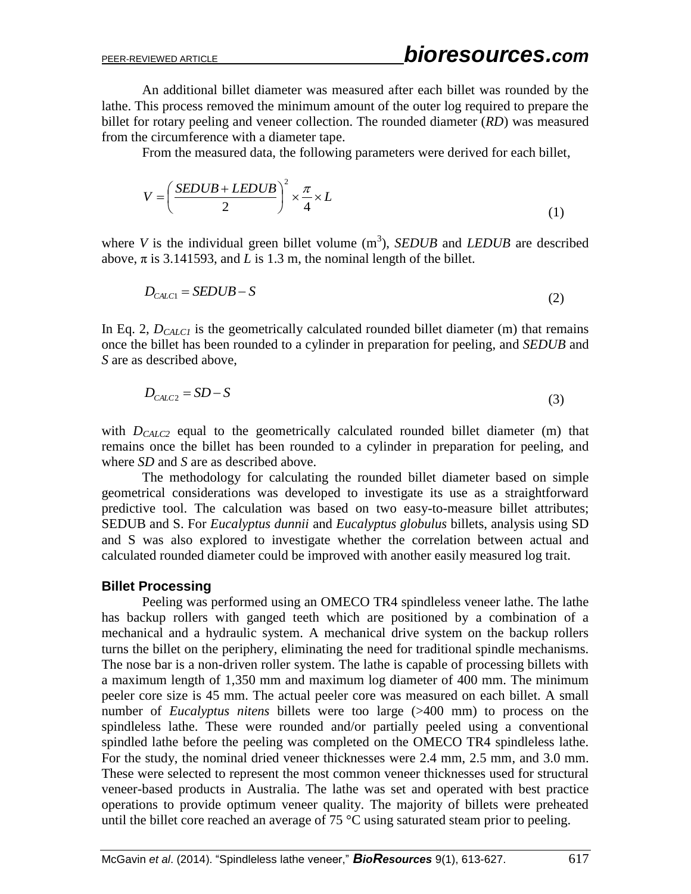An additional billet diameter was measured after each billet was rounded by the lathe. This process removed the minimum amount of the outer log required to prepare the billet for rotary peeling and veneer collection. The rounded diameter (*RD*) was measured from the circumference with a diameter tape.

From the measured data, the following parameters were derived for each billet,

$$
V = \left(\frac{SEDUB + LEDUB}{2}\right)^2 \times \frac{\pi}{4} \times L
$$
 (1)

where *V* is the individual green billet volume  $(m^3)$ , *SEDUB* and *LEDUB* are described above,  $\pi$  is 3.141593, and *L* is 1.3 m, the nominal length of the billet.

$$
D_{CALC1} = SEDUB - S \tag{2}
$$

In Eq. 2,  $D_{CALCI}$  is the geometrically calculated rounded billet diameter (m) that remains once the billet has been rounded to a cylinder in preparation for peeling, and *SEDUB* and *S* are as described above,

$$
D_{CALC2} = SD - S \tag{3}
$$

with *D<sub>CALC2</sub>* equal to the geometrically calculated rounded billet diameter (m) that remains once the billet has been rounded to a cylinder in preparation for peeling, and where *SD* and *S* are as described above.

The methodology for calculating the rounded billet diameter based on simple geometrical considerations was developed to investigate its use as a straightforward predictive tool. The calculation was based on two easy-to-measure billet attributes; SEDUB and S. For *Eucalyptus dunnii* and *Eucalyptus globulus* billets, analysis using SD and S was also explored to investigate whether the correlation between actual and calculated rounded diameter could be improved with another easily measured log trait.

#### **Billet Processing**

Peeling was performed using an OMECO TR4 spindleless veneer lathe. The lathe has backup rollers with ganged teeth which are positioned by a combination of a mechanical and a hydraulic system. A mechanical drive system on the backup rollers turns the billet on the periphery, eliminating the need for traditional spindle mechanisms. The nose bar is a non-driven roller system. The lathe is capable of processing billets with a maximum length of 1,350 mm and maximum log diameter of 400 mm. The minimum peeler core size is 45 mm. The actual peeler core was measured on each billet. A small number of *Eucalyptus nitens* billets were too large (>400 mm) to process on the spindleless lathe. These were rounded and/or partially peeled using a conventional spindled lathe before the peeling was completed on the OMECO TR4 spindleless lathe. For the study, the nominal dried veneer thicknesses were 2.4 mm, 2.5 mm, and 3.0 mm. These were selected to represent the most common veneer thicknesses used for structural veneer-based products in Australia. The lathe was set and operated with best practice operations to provide optimum veneer quality. The majority of billets were preheated until the billet core reached an average of  $75^{\circ}$ C using saturated steam prior to peeling.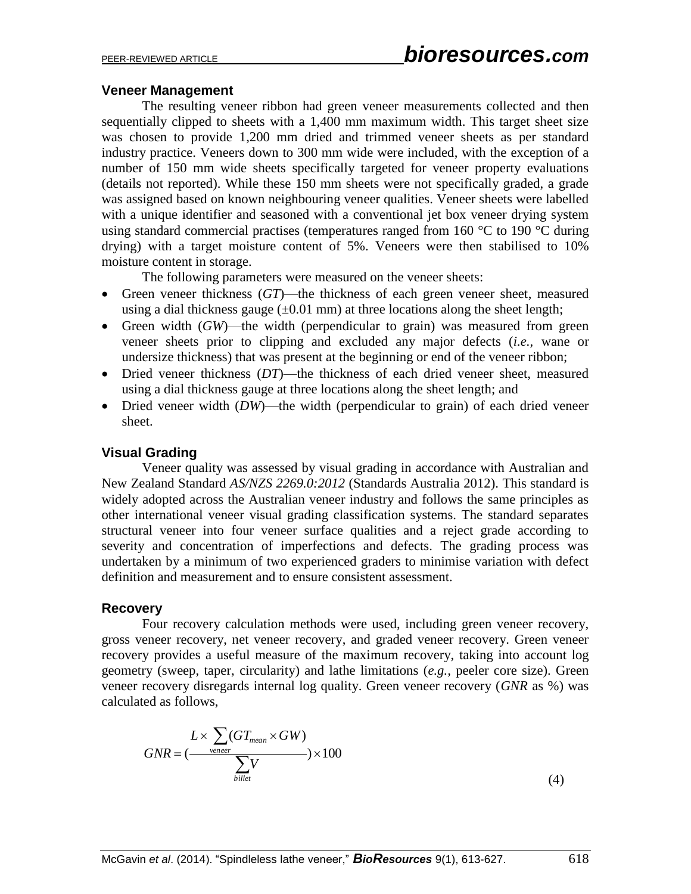#### **Veneer Management**

The resulting veneer ribbon had green veneer measurements collected and then sequentially clipped to sheets with a 1,400 mm maximum width. This target sheet size was chosen to provide 1,200 mm dried and trimmed veneer sheets as per standard industry practice. Veneers down to 300 mm wide were included, with the exception of a number of 150 mm wide sheets specifically targeted for veneer property evaluations (details not reported). While these 150 mm sheets were not specifically graded, a grade was assigned based on known neighbouring veneer qualities. Veneer sheets were labelled with a unique identifier and seasoned with a conventional jet box veneer drying system using standard commercial practises (temperatures ranged from 160 °C to 190 °C during drying) with a target moisture content of 5%. Veneers were then stabilised to 10% moisture content in storage.

The following parameters were measured on the veneer sheets:

- Green veneer thickness (*GT*)—the thickness of each green veneer sheet, measured using a dial thickness gauge  $(\pm 0.01 \text{ mm})$  at three locations along the sheet length;
- Green width (*GW*)—the width (perpendicular to grain) was measured from green veneer sheets prior to clipping and excluded any major defects (*i.e.,* wane or undersize thickness) that was present at the beginning or end of the veneer ribbon;
- Dried veneer thickness (*DT*)—the thickness of each dried veneer sheet, measured using a dial thickness gauge at three locations along the sheet length; and
- Dried veneer width (*DW*)—the width (perpendicular to grain) of each dried veneer sheet.

#### **Visual Grading**

Veneer quality was assessed by visual grading in accordance with Australian and New Zealand Standard *AS/NZS 2269.0:2012* (Standards Australia 2012). This standard is widely adopted across the Australian veneer industry and follows the same principles as other international veneer visual grading classification systems. The standard separates structural veneer into four veneer surface qualities and a reject grade according to severity and concentration of imperfections and defects. The grading process was undertaken by a minimum of two experienced graders to minimise variation with defect definition and measurement and to ensure consistent assessment.

#### **Recovery**

Four recovery calculation methods were used, including green veneer recovery, gross veneer recovery, net veneer recovery, and graded veneer recovery. Green veneer recovery provides a useful measure of the maximum recovery, taking into account log geometry (sweep, taper, circularity) and lathe limitations (*e.g.,* peeler core size). Green veneer recovery disregards internal log quality. Green veneer recovery (*GNR* as %) was calculated as follows,

$$
GNR = \frac{L \times \sum_{v \text{ener}} (GT_{mean} \times GW)}{\sum_{biller} V} \times 100
$$
\n(4)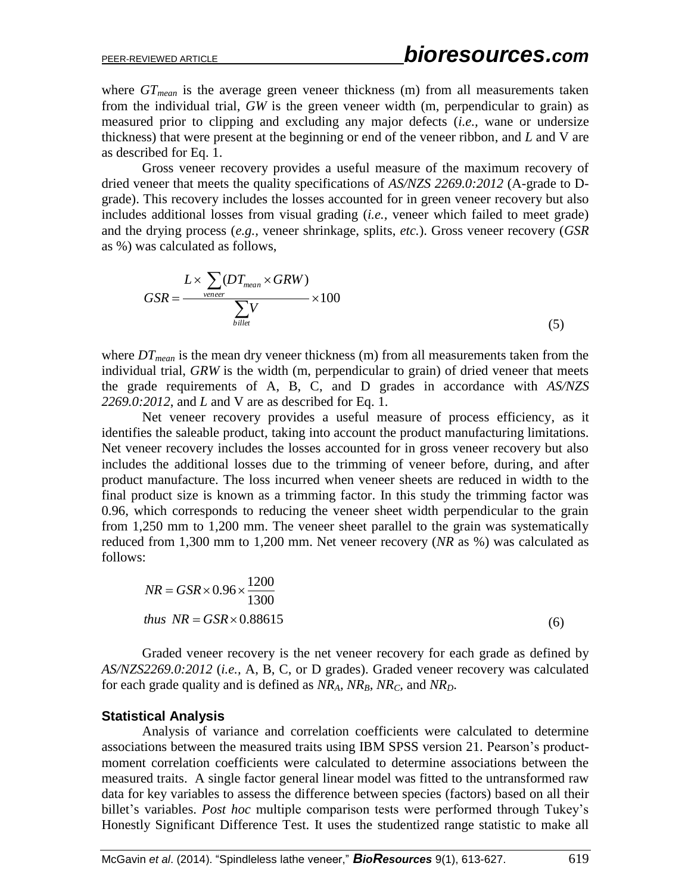where  $GT_{mean}$  is the average green veneer thickness (m) from all measurements taken from the individual trial, *GW* is the green veneer width (m, perpendicular to grain) as measured prior to clipping and excluding any major defects (*i.e.,* wane or undersize thickness) that were present at the beginning or end of the veneer ribbon, and *L* and V are as described for Eq. 1.

Gross veneer recovery provides a useful measure of the maximum recovery of dried veneer that meets the quality specifications of *AS/NZS 2269.0:2012* (A-grade to Dgrade). This recovery includes the losses accounted for in green veneer recovery but also includes additional losses from visual grading (*i.e.,* veneer which failed to meet grade) and the drying process (*e.g.,* veneer shrinkage, splits, *etc.*). Gross veneer recovery (*GSR* as %) was calculated as follows,

$$
GSR = \frac{L \times \sum_{vener} (DT_{mean} \times GRW)}{\sum_{biller} V} \times 100
$$
 (5)

where *DTmean* is the mean dry veneer thickness (m) from all measurements taken from the individual trial, *GRW* is the width (m, perpendicular to grain) of dried veneer that meets the grade requirements of A, B, C, and D grades in accordance with *AS/NZS 2269.0:2012*, and *L* and V are as described for Eq. 1.

Net veneer recovery provides a useful measure of process efficiency, as it identifies the saleable product, taking into account the product manufacturing limitations. Net veneer recovery includes the losses accounted for in gross veneer recovery but also includes the additional losses due to the trimming of veneer before, during, and after product manufacture. The loss incurred when veneer sheets are reduced in width to the final product size is known as a trimming factor. In this study the trimming factor was 0.96, which corresponds to reducing the veneer sheet width perpendicular to the grain from 1,250 mm to 1,200 mm. The veneer sheet parallel to the grain was systematically reduced from 1,300 mm to 1,200 mm. Net veneer recovery (*NR* as %) was calculated as follows:

$$
NR = GSR \times 0.96 \times \frac{1200}{1300}
$$
  
thus NR = GSR \times 0.88615 (6)

Graded veneer recovery is the net veneer recovery for each grade as defined by *AS/NZS2269.0:2012* (*i.e.,* A, B, C, or D grades). Graded veneer recovery was calculated for each grade quality and is defined as *NRA, NRB, NRC,* and *NRD*.

#### **Statistical Analysis**

Analysis of variance and correlation coefficients were calculated to determine associations between the measured traits using IBM SPSS version 21. Pearson's productmoment correlation coefficients were calculated to determine associations between the measured traits. A single factor general linear model was fitted to the untransformed raw data for key variables to assess the difference between species (factors) based on all their billet's variables. *Post hoc* multiple comparison tests were performed through Tukey's Honestly Significant Difference Test. It uses the studentized range statistic to make all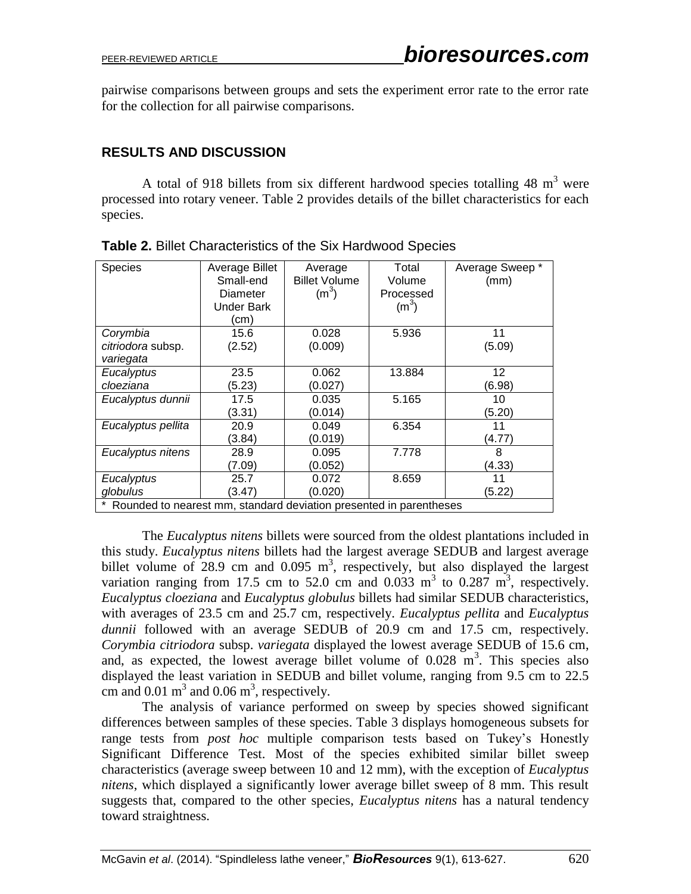pairwise comparisons between groups and sets the experiment error rate to the error rate for the collection for all pairwise comparisons.

### **RESULTS AND DISCUSSION**

A total of 918 billets from six different hardwood species totalling 48  $m<sup>3</sup>$  were processed into rotary veneer. Table 2 provides details of the billet characteristics for each species.

| Species                                                              | Average Billet<br>Small-end<br>Diameter<br><b>Under Bark</b><br>(cm | Average<br><b>Billet Volume</b><br>(m <sup>3</sup> ) | Total<br>Volume<br>Processed<br>(m <sup>3</sup> ) | Average Sweep *<br>(mm) |  |  |
|----------------------------------------------------------------------|---------------------------------------------------------------------|------------------------------------------------------|---------------------------------------------------|-------------------------|--|--|
| Corymbia                                                             | 15.6                                                                | 0.028                                                | 5.936                                             | 11                      |  |  |
| citriodora subsp.<br>variegata                                       | (2.52)                                                              | (0.009)                                              |                                                   | (5.09)                  |  |  |
| Eucalyptus                                                           | 23.5                                                                | 0.062                                                | 13.884                                            | 12                      |  |  |
| cloeziana                                                            | (5.23)                                                              | (0.027)                                              |                                                   | (6.98)                  |  |  |
| Eucalyptus dunnii                                                    | 17.5                                                                | 0.035                                                | 5.165                                             | 10                      |  |  |
|                                                                      | (3.31)                                                              | (0.014)                                              |                                                   | (5.20)                  |  |  |
| Eucalyptus pellita                                                   | 20.9                                                                | 0.049                                                | 6.354                                             | 11                      |  |  |
|                                                                      | (3.84)                                                              | (0.019)                                              |                                                   | (4.77)                  |  |  |
| Eucalyptus nitens                                                    | 28.9                                                                | 0.095                                                | 7.778                                             | 8                       |  |  |
|                                                                      | (7.09)                                                              | (0.052)                                              |                                                   | (4.33)                  |  |  |
| Eucalyptus                                                           | 25.7                                                                | 0.072                                                | 8.659                                             | 11                      |  |  |
| globulus                                                             | (3.47)                                                              | (0.020)                                              |                                                   | (5.22)                  |  |  |
| * Rounded to nearest mm, standard deviation presented in parentheses |                                                                     |                                                      |                                                   |                         |  |  |

**Table 2.** Billet Characteristics of the Six Hardwood Species

The *Eucalyptus nitens* billets were sourced from the oldest plantations included in this study. *Eucalyptus nitens* billets had the largest average SEDUB and largest average billet volume of 28.9 cm and  $0.095 \text{ m}^3$ , respectively, but also displayed the largest variation ranging from 17.5 cm to 52.0 cm and 0.033  $m<sup>3</sup>$  to 0.287  $m<sup>3</sup>$ , respectively. *Eucalyptus cloeziana* and *Eucalyptus globulus* billets had similar SEDUB characteristics, with averages of 23.5 cm and 25.7 cm, respectively. *Eucalyptus pellita* and *Eucalyptus dunnii* followed with an average SEDUB of 20.9 cm and 17.5 cm, respectively. *Corymbia citriodora* subsp. *variegata* displayed the lowest average SEDUB of 15.6 cm, and, as expected, the lowest average billet volume of  $0.028 \text{ m}^3$ . This species also displayed the least variation in SEDUB and billet volume, ranging from 9.5 cm to 22.5 cm and  $0.01 \text{ m}^3$  and  $0.06 \text{ m}^3$ , respectively.

The analysis of variance performed on sweep by species showed significant differences between samples of these species. Table 3 displays homogeneous subsets for range tests from *post hoc* multiple comparison tests based on Tukey's Honestly Significant Difference Test. Most of the species exhibited similar billet sweep characteristics (average sweep between 10 and 12 mm), with the exception of *Eucalyptus nitens*, which displayed a significantly lower average billet sweep of 8 mm. This result suggests that, compared to the other species, *Eucalyptus nitens* has a natural tendency toward straightness.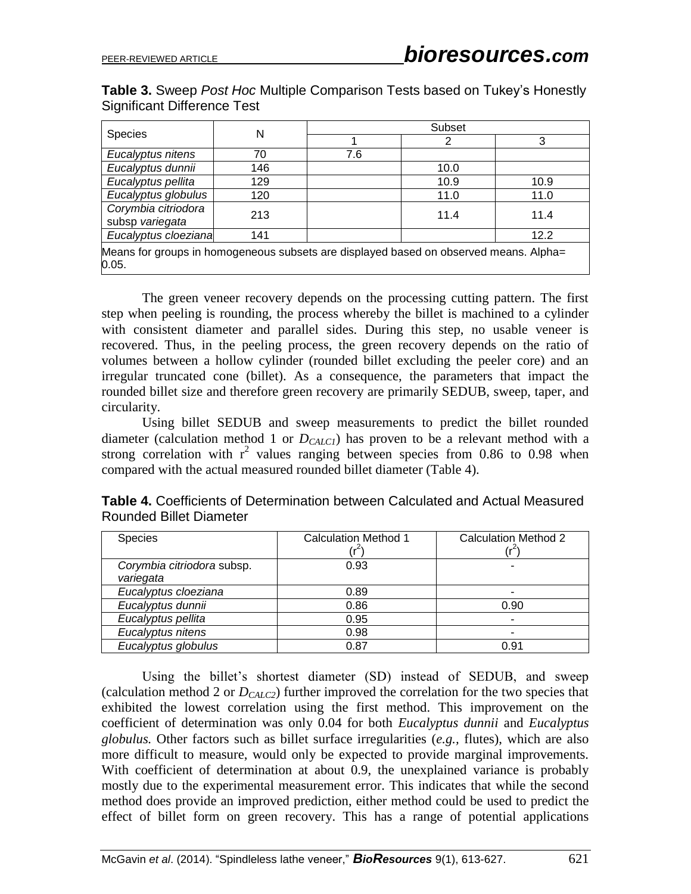0.05.

**Table 3.** Sweep *Post Hoc* Multiple Comparison Tests based on Tukey's Honestly Significant Difference Test

| <b>Species</b>                                                                        | N   | Subset |      |      |  |  |
|---------------------------------------------------------------------------------------|-----|--------|------|------|--|--|
|                                                                                       |     |        |      |      |  |  |
| Eucalyptus nitens                                                                     | 70  | 7.6    |      |      |  |  |
| Eucalyptus dunnii                                                                     | 146 |        | 10.0 |      |  |  |
| Eucalyptus pellita                                                                    | 129 |        | 10.9 | 10.9 |  |  |
| Eucalyptus globulus                                                                   | 120 |        | 11.0 | 11.0 |  |  |
| Corymbia citriodora                                                                   | 213 |        | 11.4 | 11.4 |  |  |
| subsp variegata                                                                       |     |        |      |      |  |  |
| Eucalyptus cloeziana                                                                  | 141 |        |      | 12.2 |  |  |
| Means for groups in homogeneous subsets are displayed based on observed means. Alpha= |     |        |      |      |  |  |

The green veneer recovery depends on the processing cutting pattern. The first step when peeling is rounding, the process whereby the billet is machined to a cylinder with consistent diameter and parallel sides. During this step, no usable veneer is recovered. Thus, in the peeling process, the green recovery depends on the ratio of volumes between a hollow cylinder (rounded billet excluding the peeler core) and an irregular truncated cone (billet). As a consequence, the parameters that impact the rounded billet size and therefore green recovery are primarily SEDUB, sweep, taper, and circularity.

Using billet SEDUB and sweep measurements to predict the billet rounded diameter (calculation method 1 or *DCALC1*) has proven to be a relevant method with a strong correlation with  $r^2$  values ranging between species from 0.86 to 0.98 when compared with the actual measured rounded billet diameter (Table 4).

| <b>Species</b>                          | <b>Calculation Method 1</b> | <b>Calculation Method 2</b> |
|-----------------------------------------|-----------------------------|-----------------------------|
| Corymbia citriodora subsp.<br>variegata | 0.93                        |                             |
| Eucalyptus cloeziana                    | 0.89                        |                             |
| Eucalyptus dunnii                       | 0.86                        | 0.90                        |
| Eucalyptus pellita                      | 0.95                        |                             |
| Eucalyptus nitens                       | 0.98                        |                             |
| Eucalyptus globulus                     | 0.87                        | 0.91                        |

**Table 4.** Coefficients of Determination between Calculated and Actual Measured Rounded Billet Diameter

Using the billet's shortest diameter (SD) instead of SEDUB, and sweep (calculation method 2 or *DCALC2*) further improved the correlation for the two species that exhibited the lowest correlation using the first method. This improvement on the coefficient of determination was only 0.04 for both *Eucalyptus dunnii* and *Eucalyptus globulus.* Other factors such as billet surface irregularities (*e.g.,* flutes), which are also more difficult to measure, would only be expected to provide marginal improvements. With coefficient of determination at about 0.9, the unexplained variance is probably mostly due to the experimental measurement error. This indicates that while the second method does provide an improved prediction, either method could be used to predict the effect of billet form on green recovery. This has a range of potential applications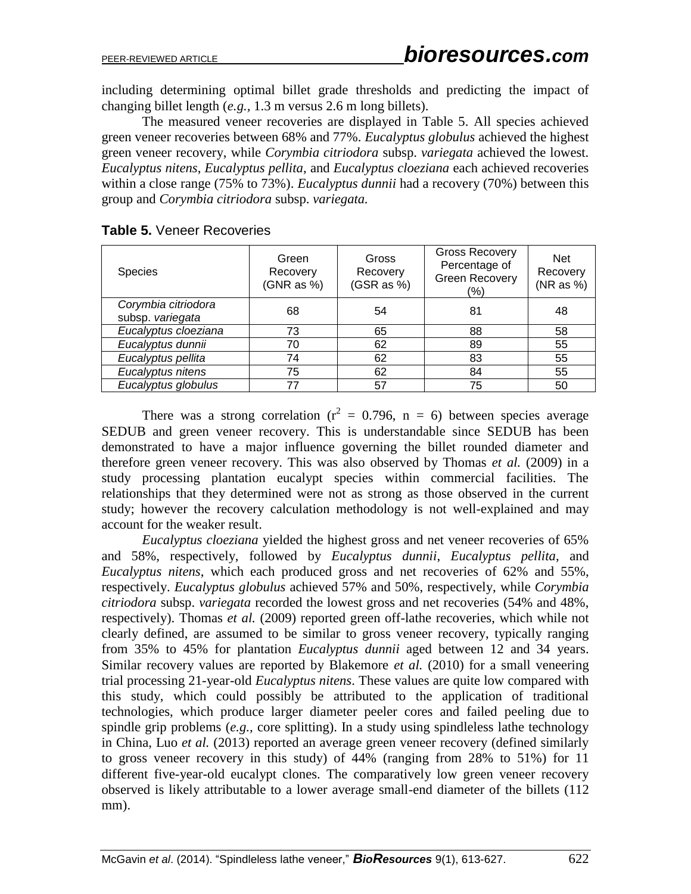including determining optimal billet grade thresholds and predicting the impact of changing billet length (*e.g.,* 1.3 m versus 2.6 m long billets).

The measured veneer recoveries are displayed in Table 5. All species achieved green veneer recoveries between 68% and 77%. *Eucalyptus globulus* achieved the highest green veneer recovery, while *Corymbia citriodora* subsp. *variegata* achieved the lowest. *Eucalyptus nitens*, *Eucalyptus pellita*, and *Eucalyptus cloeziana* each achieved recoveries within a close range (75% to 73%). *Eucalyptus dunnii* had a recovery (70%) between this group and *Corymbia citriodora* subsp. *variegata.*

| <b>Species</b>                          | Green<br>Recovery<br>(GNR as %) | Gross<br>Recovery<br>(GSR as %) | <b>Gross Recovery</b><br>Percentage of<br><b>Green Recovery</b><br>(%) | <b>Net</b><br>Recovery<br>(NR as %) |
|-----------------------------------------|---------------------------------|---------------------------------|------------------------------------------------------------------------|-------------------------------------|
| Corymbia citriodora<br>subsp. variegata | 68                              | 54                              | 81                                                                     | 48                                  |
| Eucalyptus cloeziana                    | 73                              | 65                              | 88                                                                     | 58                                  |
| Eucalyptus dunnii                       | 70                              | 62                              | 89                                                                     | 55                                  |
| Eucalyptus pellita                      | 74                              | 62                              | 83                                                                     | 55                                  |
| Eucalyptus nitens                       | 75                              | 62                              | 84                                                                     | 55                                  |
| Eucalyptus globulus                     | 77                              | 57                              | 75                                                                     | 50                                  |

**Table 5.** Veneer Recoveries

There was a strong correlation ( $r^2 = 0.796$ , n = 6) between species average SEDUB and green veneer recovery. This is understandable since SEDUB has been demonstrated to have a major influence governing the billet rounded diameter and therefore green veneer recovery. This was also observed by Thomas *et al.* (2009) in a study processing plantation eucalypt species within commercial facilities. The relationships that they determined were not as strong as those observed in the current study; however the recovery calculation methodology is not well-explained and may account for the weaker result.

*Eucalyptus cloeziana* yielded the highest gross and net veneer recoveries of 65% and 58%, respectively, followed by *Eucalyptus dunnii*, *Eucalyptus pellita*, and *Eucalyptus nitens*, which each produced gross and net recoveries of 62% and 55%, respectively. *Eucalyptus globulus* achieved 57% and 50%, respectively, while *Corymbia citriodora* subsp. *variegata* recorded the lowest gross and net recoveries (54% and 48%, respectively). Thomas *et al.* (2009) reported green off-lathe recoveries, which while not clearly defined, are assumed to be similar to gross veneer recovery, typically ranging from 35% to 45% for plantation *Eucalyptus dunnii* aged between 12 and 34 years. Similar recovery values are reported by Blakemore *et al.* (2010) for a small veneering trial processing 21-year-old *Eucalyptus nitens*. These values are quite low compared with this study, which could possibly be attributed to the application of traditional technologies, which produce larger diameter peeler cores and failed peeling due to spindle grip problems (*e.g.,* core splitting). In a study using spindleless lathe technology in China, Luo *et al.* (2013) reported an average green veneer recovery (defined similarly to gross veneer recovery in this study) of 44% (ranging from 28% to 51%) for 11 different five-year-old eucalypt clones. The comparatively low green veneer recovery observed is likely attributable to a lower average small-end diameter of the billets (112 mm).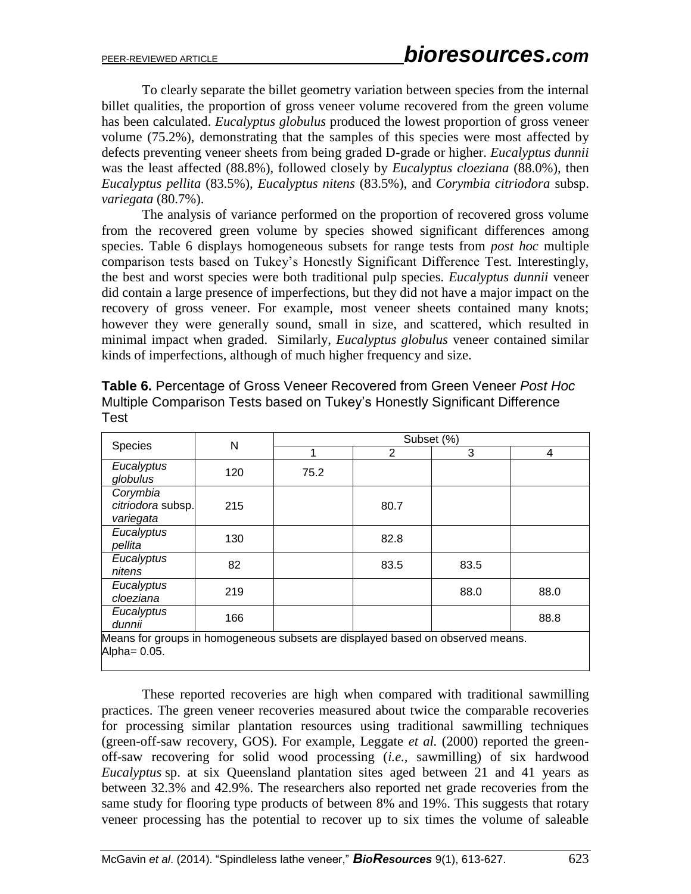To clearly separate the billet geometry variation between species from the internal billet qualities, the proportion of gross veneer volume recovered from the green volume has been calculated. *Eucalyptus globulus* produced the lowest proportion of gross veneer volume (75.2%), demonstrating that the samples of this species were most affected by defects preventing veneer sheets from being graded D-grade or higher. *Eucalyptus dunnii* was the least affected (88.8%), followed closely by *Eucalyptus cloeziana* (88.0%), then *Eucalyptus pellita* (83.5%)*, Eucalyptus nitens* (83.5%), and *Corymbia citriodora* subsp. *variegata* (80.7%).

The analysis of variance performed on the proportion of recovered gross volume from the recovered green volume by species showed significant differences among species. Table 6 displays homogeneous subsets for range tests from *post hoc* multiple comparison tests based on Tukey's Honestly Significant Difference Test. Interestingly, the best and worst species were both traditional pulp species. *Eucalyptus dunnii* veneer did contain a large presence of imperfections, but they did not have a major impact on the recovery of gross veneer. For example, most veneer sheets contained many knots; however they were generally sound, small in size, and scattered, which resulted in minimal impact when graded. Similarly, *Eucalyptus globulus* veneer contained similar kinds of imperfections, although of much higher frequency and size.

| Species                                                                       | N   | Subset (%) |      |      |      |
|-------------------------------------------------------------------------------|-----|------------|------|------|------|
|                                                                               |     | 1          | 2    | 3    | 4    |
| Eucalyptus<br>globulus                                                        | 120 | 75.2       |      |      |      |
| Corymbia<br>citriodora subsp.<br>variegata                                    | 215 |            | 80.7 |      |      |
| Eucalyptus<br>pellita                                                         | 130 |            | 82.8 |      |      |
| Eucalyptus<br>nitens                                                          | 82  |            | 83.5 | 83.5 |      |
| Eucalyptus<br>cloeziana                                                       | 219 |            |      | 88.0 | 88.0 |
| Eucalyptus<br>dunnii                                                          | 166 |            |      |      | 88.8 |
| Means for excuse in bencessaries auboate are displayed becad an aboamed means |     |            |      |      |      |

**Table 6.** Percentage of Gross Veneer Recovered from Green Veneer *Post Hoc* Multiple Comparison Tests based on Tukey's Honestly Significant Difference Test

Means for groups in homogeneous subsets are displayed based on observed means. Alpha= 0.05.

These reported recoveries are high when compared with traditional sawmilling practices. The green veneer recoveries measured about twice the comparable recoveries for processing similar plantation resources using traditional sawmilling techniques (green-off-saw recovery, GOS). For example, Leggate *et al.* (2000) reported the greenoff-saw recovering for solid wood processing (*i.e.,* sawmilling) of six hardwood *Eucalyptus* sp. at six Queensland plantation sites aged between 21 and 41 years as between 32.3% and 42.9%. The researchers also reported net grade recoveries from the same study for flooring type products of between 8% and 19%. This suggests that rotary veneer processing has the potential to recover up to six times the volume of saleable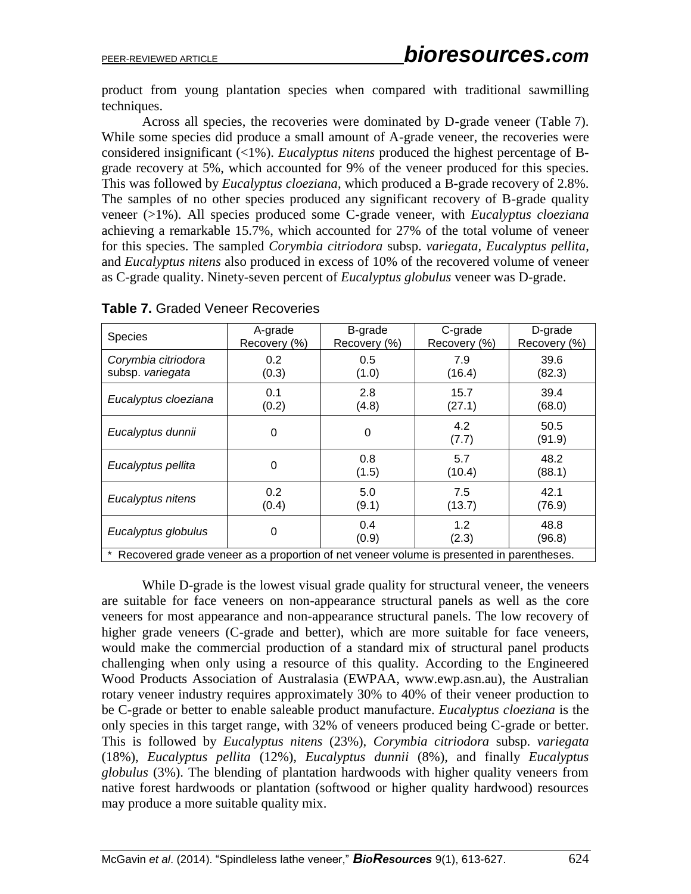product from young plantation species when compared with traditional sawmilling techniques.

Across all species, the recoveries were dominated by D-grade veneer (Table 7). While some species did produce a small amount of A-grade veneer, the recoveries were considered insignificant (<1%). *Eucalyptus nitens* produced the highest percentage of Bgrade recovery at 5%, which accounted for 9% of the veneer produced for this species. This was followed by *Eucalyptus cloeziana*, which produced a B-grade recovery of 2.8%. The samples of no other species produced any significant recovery of B-grade quality veneer (>1%). All species produced some C-grade veneer, with *Eucalyptus cloeziana* achieving a remarkable 15.7%, which accounted for 27% of the total volume of veneer for this species. The sampled *Corymbia citriodora* subsp. *variegata, Eucalyptus pellita*, and *Eucalyptus nitens* also produced in excess of 10% of the recovered volume of veneer as C-grade quality. Ninety-seven percent of *Eucalyptus globulus* veneer was D-grade.

|                                                                                          | A-grade      | B-grade      | C-grade      | D-grade      |  |  |
|------------------------------------------------------------------------------------------|--------------|--------------|--------------|--------------|--|--|
| <b>Species</b>                                                                           | Recovery (%) | Recovery (%) | Recovery (%) | Recovery (%) |  |  |
|                                                                                          |              |              |              |              |  |  |
| Corymbia citriodora                                                                      | 0.2          | 0.5          | 7.9          | 39.6         |  |  |
| subsp. variegata                                                                         | (0.3)        | (1.0)        | (16.4)       | (82.3)       |  |  |
|                                                                                          |              |              |              |              |  |  |
|                                                                                          | 0.1          | 2.8          | 15.7         | 39.4         |  |  |
| Eucalyptus cloeziana                                                                     |              |              |              |              |  |  |
|                                                                                          | (0.2)        | (4.8)        | (27.1)       | (68.0)       |  |  |
|                                                                                          |              |              | 4.2          | 50.5         |  |  |
| Eucalyptus dunnii                                                                        | 0            | 0            |              |              |  |  |
|                                                                                          |              |              | (7.7)        | (91.9)       |  |  |
|                                                                                          |              | 0.8          | 5.7          | 48.2         |  |  |
| Eucalyptus pellita                                                                       | 0            |              |              |              |  |  |
|                                                                                          |              | (1.5)        | (10.4)       | (88.1)       |  |  |
|                                                                                          | 0.2          | 5.0          | 7.5          | 42.1         |  |  |
| Eucalyptus nitens                                                                        |              |              |              |              |  |  |
|                                                                                          | (0.4)        | (9.1)        | (13.7)       | (76.9)       |  |  |
|                                                                                          |              | 0.4          | 1.2          | 48.8         |  |  |
| Eucalyptus globulus                                                                      | 0            |              |              |              |  |  |
|                                                                                          |              | (0.9)        | (2.3)        | (96.8)       |  |  |
| Recovered grade veneer as a proportion of net veneer volume is presented in parentheses. |              |              |              |              |  |  |
|                                                                                          |              |              |              |              |  |  |

**Table 7.** Graded Veneer Recoveries

While D-grade is the lowest visual grade quality for structural veneer, the veneers are suitable for face veneers on non-appearance structural panels as well as the core veneers for most appearance and non-appearance structural panels. The low recovery of higher grade veneers (C-grade and better), which are more suitable for face veneers, would make the commercial production of a standard mix of structural panel products challenging when only using a resource of this quality. According to the Engineered Wood Products Association of Australasia (EWPAA, www.ewp.asn.au), the Australian rotary veneer industry requires approximately 30% to 40% of their veneer production to be C-grade or better to enable saleable product manufacture. *Eucalyptus cloeziana* is the only species in this target range, with 32% of veneers produced being C-grade or better. This is followed by *Eucalyptus nitens* (23%), *Corymbia citriodora* subsp. *variegata*  (18%), *Eucalyptus pellita* (12%), *Eucalyptus dunnii* (8%), and finally *Eucalyptus globulus* (3%). The blending of plantation hardwoods with higher quality veneers from native forest hardwoods or plantation (softwood or higher quality hardwood) resources may produce a more suitable quality mix.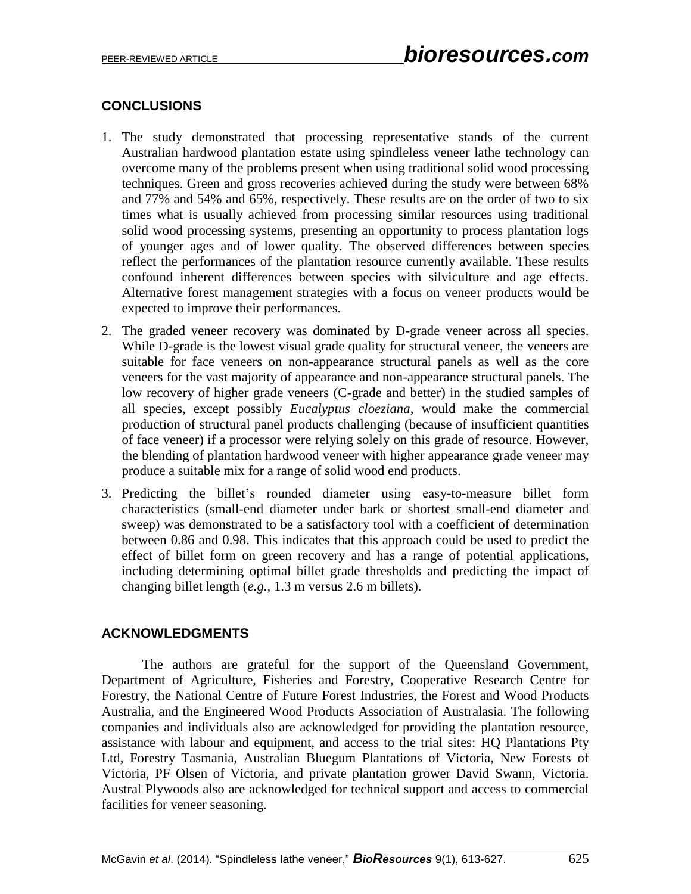# **CONCLUSIONS**

- 1. The study demonstrated that processing representative stands of the current Australian hardwood plantation estate using spindleless veneer lathe technology can overcome many of the problems present when using traditional solid wood processing techniques. Green and gross recoveries achieved during the study were between 68% and 77% and 54% and 65%, respectively. These results are on the order of two to six times what is usually achieved from processing similar resources using traditional solid wood processing systems, presenting an opportunity to process plantation logs of younger ages and of lower quality. The observed differences between species reflect the performances of the plantation resource currently available. These results confound inherent differences between species with silviculture and age effects. Alternative forest management strategies with a focus on veneer products would be expected to improve their performances.
- 2. The graded veneer recovery was dominated by D-grade veneer across all species. While D-grade is the lowest visual grade quality for structural veneer, the veneers are suitable for face veneers on non-appearance structural panels as well as the core veneers for the vast majority of appearance and non-appearance structural panels. The low recovery of higher grade veneers (C-grade and better) in the studied samples of all species, except possibly *Eucalyptus cloeziana*, would make the commercial production of structural panel products challenging (because of insufficient quantities of face veneer) if a processor were relying solely on this grade of resource. However, the blending of plantation hardwood veneer with higher appearance grade veneer may produce a suitable mix for a range of solid wood end products.
- 3. Predicting the billet's rounded diameter using easy-to-measure billet form characteristics (small-end diameter under bark or shortest small-end diameter and sweep) was demonstrated to be a satisfactory tool with a coefficient of determination between 0.86 and 0.98. This indicates that this approach could be used to predict the effect of billet form on green recovery and has a range of potential applications, including determining optimal billet grade thresholds and predicting the impact of changing billet length (*e.g.,* 1.3 m versus 2.6 m billets).

# **ACKNOWLEDGMENTS**

The authors are grateful for the support of the Queensland Government, Department of Agriculture, Fisheries and Forestry, Cooperative Research Centre for Forestry, the National Centre of Future Forest Industries, the Forest and Wood Products Australia, and the Engineered Wood Products Association of Australasia. The following companies and individuals also are acknowledged for providing the plantation resource, assistance with labour and equipment, and access to the trial sites: HQ Plantations Pty Ltd, Forestry Tasmania, Australian Bluegum Plantations of Victoria, New Forests of Victoria, PF Olsen of Victoria, and private plantation grower David Swann, Victoria. Austral Plywoods also are acknowledged for technical support and access to commercial facilities for veneer seasoning.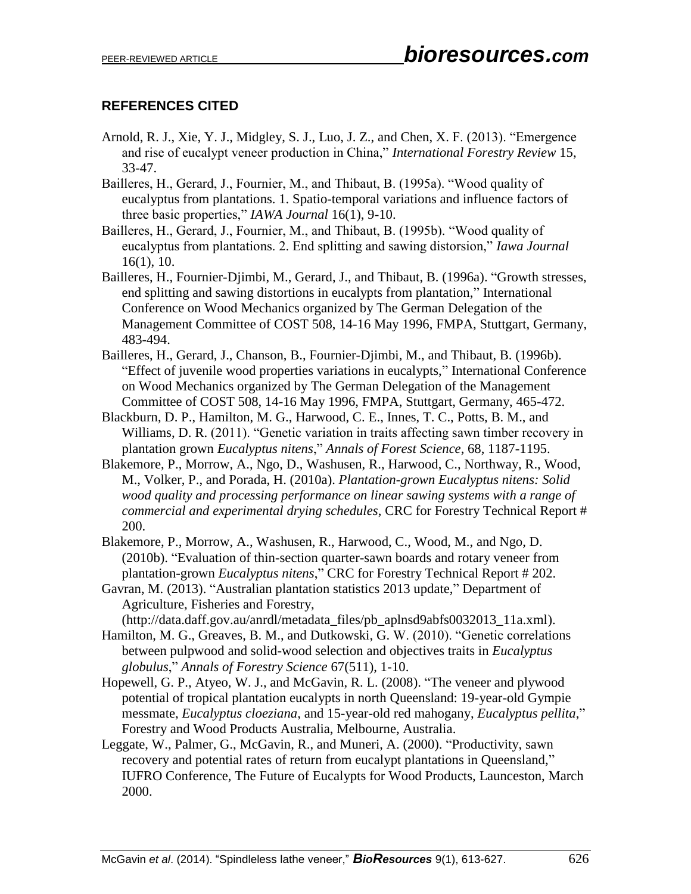# **REFERENCES CITED**

- Arnold, R. J., Xie, Y. J., Midgley, S. J., Luo, J. Z., and Chen, X. F. (2013). "Emergence and rise of eucalypt veneer production in China," *International Forestry Review* 15, 33-47.
- Bailleres, H., Gerard, J., Fournier, M., and Thibaut, B. (1995a). "Wood quality of eucalyptus from plantations. 1. Spatio-temporal variations and influence factors of three basic properties," *IAWA Journal* 16(1), 9-10.
- Bailleres, H., Gerard, J., Fournier, M., and Thibaut, B. (1995b). "Wood quality of eucalyptus from plantations. 2. End splitting and sawing distorsion," *Iawa Journal* 16(1), 10.
- Bailleres, H., Fournier-Djimbi, M., Gerard, J., and Thibaut, B. (1996a). "Growth stresses, end splitting and sawing distortions in eucalypts from plantation," International Conference on Wood Mechanics organized by The German Delegation of the Management Committee of COST 508, 14-16 May 1996, FMPA, Stuttgart, Germany, 483-494.
- Bailleres, H., Gerard, J., Chanson, B., Fournier-Djimbi, M., and Thibaut, B. (1996b). "Effect of juvenile wood properties variations in eucalypts," International Conference on Wood Mechanics organized by The German Delegation of the Management Committee of COST 508, 14-16 May 1996, FMPA, Stuttgart, Germany, 465-472.
- Blackburn, D. P., Hamilton, M. G., Harwood, C. E., Innes, T. C., Potts, B. M., and Williams, D. R. (2011). "Genetic variation in traits affecting sawn timber recovery in plantation grown *Eucalyptus nitens*," *Annals of Forest Science*, 68, 1187-1195.
- Blakemore, P., Morrow, A., Ngo, D., Washusen, R., Harwood, C., Northway, R., Wood, M., Volker, P., and Porada, H. (2010a). *Plantation-grown Eucalyptus nitens: Solid wood quality and processing performance on linear sawing systems with a range of commercial and experimental drying schedules*, CRC for Forestry Technical Report # 200.
- Blakemore, P., Morrow, A., Washusen, R., Harwood, C., Wood, M., and Ngo, D. (2010b). "Evaluation of thin-section quarter-sawn boards and rotary veneer from plantation-grown *Eucalyptus nitens*," CRC for Forestry Technical Report # 202.
- Gavran, M. (2013). "Australian plantation statistics 2013 update," Department of Agriculture, Fisheries and Forestry,

[\(http://data.daff.gov.au/anrdl/metadata\\_files/pb\\_aplnsd9abfs0032013\\_11a.xml\)](http://data.daff.gov.au/anrdl/metadata_files/pb_aplnsd9abfs0032013_11a.xml).

- Hamilton, M. G., Greaves, B. M., and Dutkowski, G. W. (2010). "Genetic correlations between pulpwood and solid-wood selection and objectives traits in *Eucalyptus globulus*," *Annals of Forestry Science* 67(511), 1-10.
- Hopewell, G. P., Atyeo, W. J., and McGavin, R. L. (2008). "The veneer and plywood potential of tropical plantation eucalypts in north Queensland: 19-year-old Gympie messmate, *Eucalyptus cloeziana*, and 15-year-old red mahogany, *Eucalyptus pellita*," Forestry and Wood Products Australia, Melbourne, Australia.
- Leggate, W., Palmer, G., McGavin, R., and Muneri, A. (2000). "Productivity, sawn recovery and potential rates of return from eucalypt plantations in Queensland," IUFRO Conference, The Future of Eucalypts for Wood Products, Launceston, March 2000.